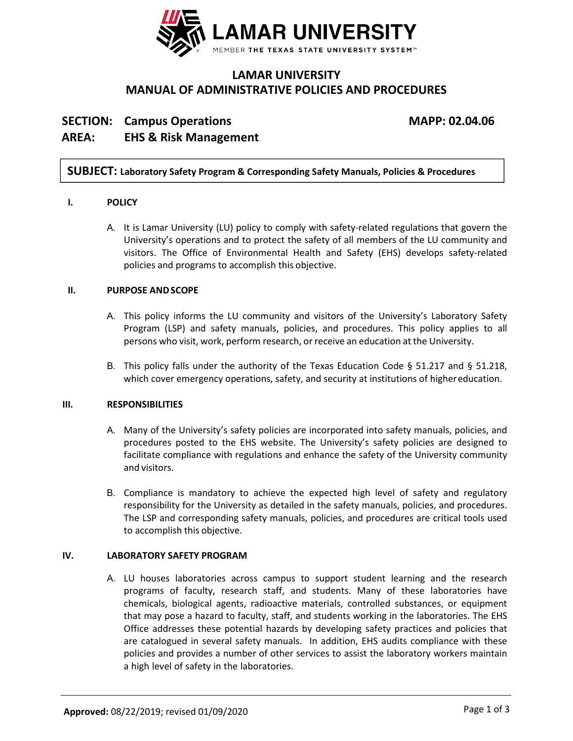

# **LAMAR UNIVERSITY MANUAL OF ADMINISTRATIVE POLICIES AND PROCEDURES**

# **SECTION: Campus Operations MAPP: 02.04.06 AREA: EHS & Risk Management**

# **SUBJECT: Laboratory Safety Program & Corresponding Safety Manuals, Policies & Procedures**

# **I. POLICY**

A. It is Lamar University (LU) policy to comply with safety-related regulations that govern the University's operations and to protect the safety of all members of the LU community and visitors. The Office of Environmental Health and Safety (EHS) develops safety‐related policies and programs to accomplish this objective.

# **II. PURPOSE ANDSCOPE**

- A. This policy informs the LU community and visitors of the University's Laboratory Safety Program (LSP) and safety manuals, policies, and procedures. This policy applies to all persons who visit, work, perform research, or receive an education at the University.
- B. This policy falls under the authority of the Texas Education Code § 51.217 and § 51.218, which cover emergency operations, safety, and security at institutions of highereducation.

# **III. RESPONSIBILITIES**

- A. Many of the University's safety policies are incorporated into safety manuals, policies, and procedures posted to the EHS website. The University's safety policies are designed to facilitate compliance with regulations and enhance the safety of the University community and visitors.
- B. Compliance is mandatory to achieve the expected high level of safety and regulatory responsibility for the University as detailed in the safety manuals, policies, and procedures. The LSP and corresponding safety manuals, policies, and procedures are critical tools used to accomplish this objective.

# **IV. LABORATORY SAFETY PROGRAM**

A. LU houses laboratories across campus to support student learning and the research programs of faculty, research staff, and students. Many of these laboratories have chemicals, biological agents, radioactive materials, controlled substances, or equipment that may pose a hazard to faculty, staff, and students working in the laboratories. The EHS Office addresses these potential hazards by developing safety practices and policies that are catalogued in several safety manuals. In addition, EHS audits compliance with these policies and provides a number of other services to assist the laboratory workers maintain a high level of safety in the laboratories.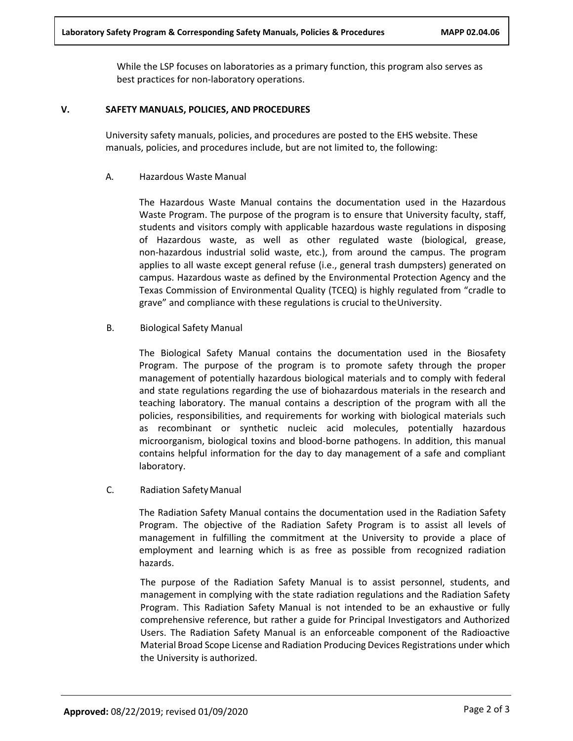While the LSP focuses on laboratories as a primary function, this program also serves as best practices for non‐laboratory operations.

#### **V. SAFETY MANUALS, POLICIES, AND PROCEDURES**

University safety manuals, policies, and procedures are posted to the EHS website. These manuals, policies, and procedures include, but are not limited to, the following:

#### A. Hazardous Waste Manual

The Hazardous Waste Manual contains the documentation used in the Hazardous Waste Program. The purpose of the program is to ensure that University faculty, staff, students and visitors comply with applicable hazardous waste regulations in disposing of Hazardous waste, as well as other regulated waste (biological, grease, non‐hazardous industrial solid waste, etc.), from around the campus. The program applies to all waste except general refuse (i.e., general trash dumpsters) generated on campus. Hazardous waste as defined by the Environmental Protection Agency and the Texas Commission of Environmental Quality (TCEQ) is highly regulated from "cradle to grave" and compliance with these regulations is crucial to theUniversity.

B. Biological Safety Manual

The Biological Safety Manual contains the documentation used in the Biosafety Program. The purpose of the program is to promote safety through the proper management of potentially hazardous biological materials and to comply with federal and state regulations regarding the use of biohazardous materials in the research and teaching laboratory. The manual contains a description of the program with all the policies, responsibilities, and requirements for working with biological materials such as recombinant or synthetic nucleic acid molecules, potentially hazardous microorganism, biological toxins and blood‐borne pathogens. In addition, this manual contains helpful information for the day to day management of a safe and compliant laboratory.

# C. Radiation Safety Manual

The Radiation Safety Manual contains the documentation used in the Radiation Safety Program. The objective of the Radiation Safety Program is to assist all levels of management in fulfilling the commitment at the University to provide a place of employment and learning which is as free as possible from recognized radiation hazards.

The purpose of the Radiation Safety Manual is to assist personnel, students, and management in complying with the state radiation regulations and the Radiation Safety Program. This Radiation Safety Manual is not intended to be an exhaustive or fully comprehensive reference, but rather a guide for Principal Investigators and Authorized Users. The Radiation Safety Manual is an enforceable component of the Radioactive Material Broad Scope License and Radiation Producing Devices Registrations under which the University is authorized.